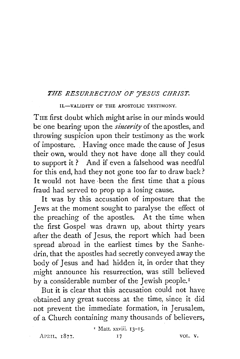## *THE RESURRECTION OF YESUS CHRIST.*

II.-VALIDITY OF THE APOSTOLIC TESTIMONY.

THE first doubt which might arise in our minds would be one bearing upon the *siucerity* of the apostles, and throwing suspicion upon their testimony as the work of imposture. Having once made the cause of Jesus their own, would they not have done all they could to support it ? And if even a falsehood was needful for this end, had they not gone too far to draw back? It would not have been the first time that a pious fraud had served to prop up a losing cause.

It was by this accusation of imposture that the Jews at the moment sought to paralyse the effect ot the preaching of the apostles. At the time when the first Gospel was drawn up, about thirty years after the death of Jesus, the report which had been spread abroad in the earliest times by the Sanhedrin, that the apostles had secretly conveyed away the body of Jesus and had hidden it, in order that they might announce his resurrection, was still believed by a considerable number of the Jewish people.<sup>I</sup>

But it is clear that this accusation could not have obtained any great success at the time, since it did not prevent the immediate formation, in Jerusalem, of a Church containing many thousands of believers,

<sup>I</sup> Matt. xxviii. 13-15.

APRIL. 1877.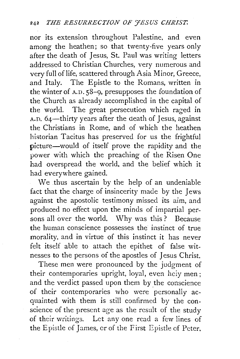nor its extension throughout Palestine, and even among the heathen; so that twenty-five years only after the death of Jesus, St. Paul was writing letters addressed to Christian Churches, very numerous and very full of life, scattered through Asia Minor, Greece, and Italy. The Epistle to the Romans, written in the winter of A.D. 58-9, presupposes the foundation of the Church as already accomplished in the capital of the world. The great persecution which raged in A.D. 64-thirty years after the death of Jesus, against the Christians in Rome, and of which the heathen historian Tacitus has preserved for us the frightful picture-would of itself prove the rapidity and the power with which the preaching of the Risen One had overspread the world, and the belief which it had everywhere gained.

We thus ascertain by the help of an undeniable fact that the charge of insincerity made by the Jews against the apostolic testimony missed its aim, and produced no effect upon the minds of impartial persons all over the world. Why was this? Because the human conscience possesses the instinct of true morality, and in virtue of this instinct it has never felt itself able to attach the epithet of false witnesses to the persons of the apostles of Jesus Christ.

These men were pronounced by the judgment of their contemporaries upright, loyal, even hciy men; and the verdict passed upon them by the conscience of their contemporaries who were personally acquainted with them is still confirmed by the conscience of the present age as the result of the study of their writings. Let any one read a few lines of the Epistle of James, er of the First Epistle of Peter.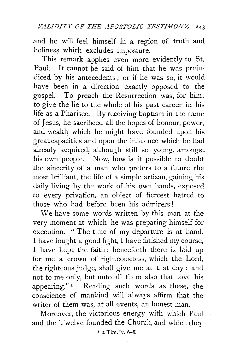and he will feel himself in a region of truth and holiness which excludes imposture.

This remark applies even more evidently to St. Paul. It cannot be said of him that he was prejudiced by his antecedents ; or if he was so, it would have been in a direction exactly opposed to the gospel. To preach the Resurrection was, for him, to give the lie to the whole of his past career in his life as a Pharisee. By receiving baptism in the name of Jesus, he sacrificed all the hopes of honour, power, and wealth which he might have founded upon his great capacities and upon the influence which he had already acquired, although still so young, amongst his own people. Now, how is it possible to doubt the sincerity of a man who prefers to a future the most brilliant, the life of a simple artizan, gaining his daily living by the work of his own hands, exposed to every privation, an object of fiercest hatred to those who had before been his admirers !

We have some words written by this man at the very moment at which he was preparing himself for execution. " The time of my departure is at hand. I have fought a good fight, I have finished my course, I have kept the faith: henceforth there is laid up for me a crown of righteousness, which the Lord, the righteous judge, shall give me at that day : and not to me only, but unto all them also that love his appearing." 1 Reading such words as these, the conscience of mankind will always affirm that the writer of them was, at all events, an honest man.

Moreover, the victorious energy with which Paul and the Twelve founded the Church, and which they

 $2$  Tim. iv.  $6-8$ .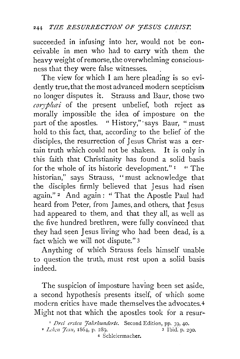succeeded in infusing into her, would not be conceivable in men who had to carry with them the heavy weight of remorse, the overwhelming consciousness that they were false witnesses.

The view for which I am here pleading is so evidently true, that the most advanced modern scepticism no longer disputes it. Strauss and Baur, those two *corypluei* of the present unbelief, both reject as morally impossible the idea of imposture on the part of the apostles. " History,"· says Baur, "must hold to this fact, that, according to the belief of the disciples, the resurrection of Jesus Christ was a certain truth which could not be shaken. It is only in this faith that Christianity has found a solid basis for the whole of its historic development." <sup>1</sup> " The historian," says Strauss, "must acknowledge that the disciples firmly believed that Jesus had risen again." 2 And again: ''That the Apostle Paul had heard from Peter, from James, and others, that Jesus had appeared to them, and that they all, as well as the five hundred brethren, were fully convinced that they had seen Jesus living who had been dead, is a fact which we will not dispute." 3

Anything of which Strauss feels himself unable to question the truth, must rest upon a solid basis indeed.

The suspicion of imposture having been set aside, a second hypothesis presents itself, of which some modern critics have made themselves the advocates.4 Might not that which the apostles took for a resur-

4 Schleiermacher.

<sup>&</sup>lt;sup>1</sup> *Drei ersten Jahrhunderte*. Second Edition, pp. 39, 40. <sup>2</sup> *Leben 'Jesu*, 1864, p. 289. 3 Ibid. p. 290.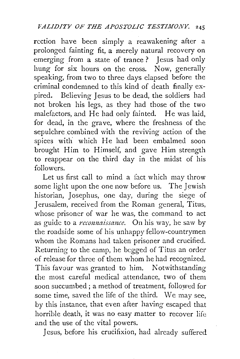rcction have been simply a reawakening after a prolonged fainting fit, a merely natural recovery on emerging from a state of trance? Jesus had only hung for six hours on the cross. Now, generally speaking, from two to three days elapsed before the criminal condemned to this kind of death finally expired. Believing Jesus to be dead, the soldiers had not broken his legs, as they had those of the two malefactors, and He had only fainted. He was laid, for dead, in the grave, where the freshness of the sepulchre combined with the reviving action of the spices with which He had been embalmed soon brought Him to Himself, and gave Him strength to reappear on the third day in the midst of his followers.

Let us first call to mind a fact which may throw some light upon the one now before us. The Jewish historian, Josephus, one day, during the siege of Jerusalem, received from the Roman general, Titus, whose prisoner of war he was, the command to act as guide to a *reconnaissance*. On his way, he saw by the roadside some of his unhappy fellow-countrymen whom the Romans had taken prisoner and crucified. Returning to the camp, he begged of Titus an order of release for three of them whom he had recognized. This favour was granted to him. Notwithstanding the most careful medical attendance, two of them soon succumbed; a method of treatment, followed for some time, saved the life of the third. We may see, by this instance, that even after having escaped that horrible death, it was no easy matter to recover life and the use of the vital powers.

Jesus, before his crucifixion, had already suffered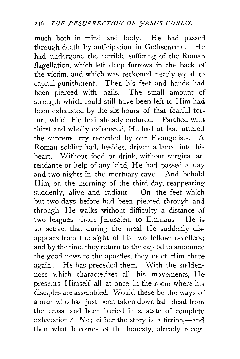much both in mind and body. He had passed through death by anticipation in Gethsemane. He had undergone the terrible suffering of the Roman flagellation, which left deep furrows in the back of the victim, and which was reckoned nearly equal to capital punishment. Then his feet and hands had been pierced with nails. strength which could still have been left to Him had been exhausted by the six hours of that fearful torture which He had already endured. Parched with thirst and wholly exhausted, He had at last uttered the supreme cry recorded by our Evangelists. A Roman soldier had, besides, driven a lance into his heart. Without food or drink, without surgical attendance or help of any kind, He had passed a day and two nights in the mortuary cave. And behold Him, on the morning of the third day, reappearing suddenly, alive and radiant! On the feet which but two days before had been pierced through and through, He walks without difficulty a distance of two leagues-from Jerusalem to Emmaus. He is so active, that during the meal He suddenly disappears from the sight of his two fellow-travellers; and by the time they return to the capital to announce the good news to the apostles, they meet Him there again! He has preceded them. With the suddenness which characterizes all his movements, He presents Himself all at once in the room where his disciples are assembled. Would these be the ways of a man who had just been taken down half dead from the cross, and been buried in a state of complete exhaustion ? No; either the story is a fiction,—and then what becomes of the honesty, already recog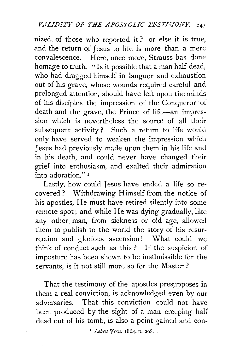nized, of those who reported it? or else it is true, and the return of Jesus to life is more than a mere convalescence. Here, once more, Strauss has done homage to truth. "Is it possible that a man half dead, who had dragged himself in languor and exhaustion out of his grave, whose wounds required careful and prolonged attention, should have left upon the minds of his disciples the impression of the Conqueror of death and the grave, the Prince of life-an impression which is nevertheless the source of all their subsequent activity? Such a return to life would only have served to weaken the impression which Jesus had previously made upon them in his life and in his death, and could never have changed their grief into enthusiasm, and exalted their admiration into adoration." 1

Lastly, how could Jesus have ended a life so recovered? Withdrawing Himself from the notice of his apostles, He must have retired silently into some remote spot; and while He was dying gradually, like any other man, from sickness or old age, allowed them to publish to the world the story of his resurrection and glorious ascension! What could we think of conduct such as this ? If the suspicion of imposture has been shewn to be inadmissible for the servants, is it not still more so for the Master ?

That the testimony of the apostles presupposes in them a real conviction, is acknowledged even by our adversaries. That this conviction could not have been produced by the sight of a man creeping half dead cut of his tomb, is also a point gained and con-

<sup>*r</sup> Leben Jesu*, 1864, p. 298.</sup>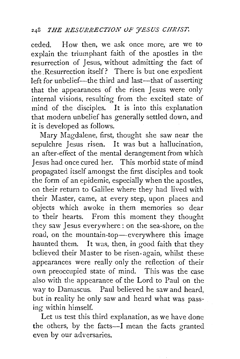ceded. How then, we ask once more, are we to explain the triumphant faith of the apostles in the resurrection of Jesus, without admitting the fact of the .Resurrection itself? There is but one expedient left for unbelief-the third and last-that of asserting that the appearances of the risen Jesus were only internal visions, resulting from the excited state of mind of the disciples. It is into this explanation that modern unbelief has generally settled down, and it is developed as follows.

Mary Magdalene, first, thought she saw near the sepulchre Jesus risen. It was but a hallucination, an after-effect of the mental derangement from which Jesus had once cured her. This morbid state of mind propagated itself amongst the first disciples and took the form of an epidemic, especially when the apostles, on their return to Galilee where they had lived with their Master, came, at every step, upon places and objects which awoke in them memories so dear to their hearts. From this moment they thought they saw Jesus everywhere: on the sea-shore, on the road, on the mountain-top-everywhere this image haunted them. It was, then, in good faith that they believed their Master to be risen. again, whilst these appearances were really only the reflection of their own preoccupied state of mind. This was the case also with the appearance of the Lord to Paul on the way to Damascus. Paul believed he saw and heard, but in reality he only saw and heard what was passing within himself.

Let us test this third explanation, as we have done the others, by the facts--I mean the facts granted even by our adversaries.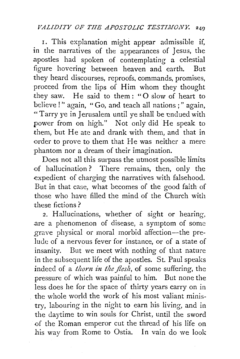1. This explanation might appear admissible if, in the narratives of the appearances of Jesus, the apostles had spoken of contemplating a celestial figure hovering between heaven and earth. But they heard discourses, reproofs, commands, promises, proceed from the lips of Him whom they thought they saw. He said to them: "0 slow of heart to believe!" again, "Go, and teach all nations;" again, " Tarry ye in Jerusalem until ye shall be endued with power from on high." Not only did He speak to them, but He ate and drank with them, and that in order to prove to them that He was neither a mere phantom nor a dream of their imagination.

Does not all this surpass the utmost possible limits of hallucination? There remains, then, only the expedient of charging the narratives with falsehood. But in that case, what becomes of the good faith of those who have filled the mind of the Church with these fictions ?

2. Hallucinations, whether of sight or hearing, are a phenomenon of disease, a symptom of some grave physical or moral morbid affection-the prelude of a nervous fever for instance, or of a state of insanity. But we meet with nothing of that nature in the subsequent life of the apostles. St. Paul speaks indeed of a *thorn in the flesh*, of some suffering, the pressure of which was painful to him. But none the less does he for the space of thirty years carry on in the whole world the work of his most valiant ministry, labouring in the night to earn his living, and in the daytime to win souls for Christ, until the sword of the Roman emperor cut the thread of his life on his way from Rome to Ostia. In vain do we look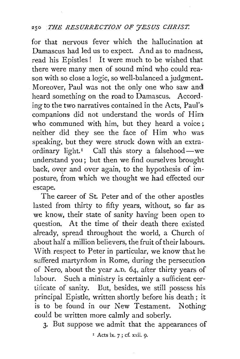## 250 *THE RESURRECTION* OF *YESUS CHRIST.*

for that nervous fever which the hallucination at Damascus had led us to expect. And as to madness. read his Epistles! It were much to be wished that there were many men of sound mind who could reason with so close a logic, so well-balanced a judgment. Moreover, Paul was not the only one who saw and! heard something on the road to Damascus. According to the two narratives contained in the Acts, Paul's companions did not understand the words of Him who communed with him, but they heard a voice: neither did they see the face of Him who was. speaking, but they were struck down with an extraordinary light.<sup> $I$ </sup> Call this story a falsehood-we understand you; but then we find ourselves brought back, over and over again, to the hypothesis of imposture, from which we thought we had effected our escape.

The career of St. Peter and of the other apostles lasted from thirty to fifty years, without, so far as. we know, their state of sanity having been open to question. At the time of their death there existed already, spread throughout the world, a Church of about half a million believers, the fruit of their labours. With respect to Peter in particular, we know that he suffered martyrdom in Rome, during the persecution of Nero, about the year A.D. 64, after thirty years of labour. Such a ministry is certainly a sufficient certificate of sanity. But, besides, we still possess his principal Epistle, written shortly before his death; it is to be found in our New Testament. Nothing could be written more calmly and soberly.

3· But suppose we admit that the appearances of

 $<sup>I</sup>$  Acts ix. 7 ; cf. xxii. 0.</sup>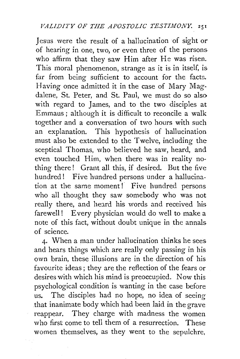Jesus were the result of a hallucination of sight or of hearing in one, two, or even three of the persons who affirm that they saw Him after He was risen. This moral phenomenon, strange as it is in itself, is far from being sufficient to account for the facts. Having once admitted it in the case of Mary Magdalene, St. Peter, and St. Paul, we must do so also with regard to James, and to the two disciples at Emmaus; although it is difficult to reconcile a walk together and a conversation of two hours with such an explanation. This hypothesis of hallucination must also be extended to the Twelve, including the sceptical Thomas, who believed he saw, heard, and even touched Him, when there was in reality nothing there ! Grant all this, if desired. But the five hundred! Five hundred persons under a hallucination at the same moment! Five hundred persons who all thought they saw somebody who was not really there, and heard his words and received his farewell! Every physician would do well to make a note of this fact, without doubt unique in the annals of science.

4· When a man under hallucination thinks he sees and hears things which are really only passing in his own brain, these illusions are in the direction of his favourite ideas ; they are the reflection of the fears or desires with which his mind is preoccupied. Now this psychological condition is wanting in the case before us. The disciples had no hope, no idea of seeing that inanimate body which had been laid in the grave reappear. They charge with madness the women who first come to tell them of a resurrection. These women themselves, as they went to the sepulchre,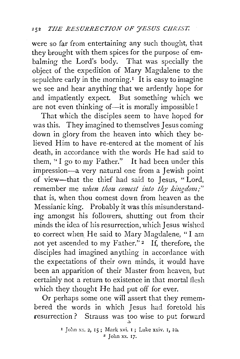were so far from entertaining any such thought, that they brought with them spices for the purpose of embalming the Lord's body. That was specially the object of the expedition of Mary Magdalene to the sepulchre early in the morning.<sup> $I$ </sup> It is easy to imagine we see and hear anything that we ardently hope for and impatiently expect. But something which we are not even thinking of-it is morally impossible!

That which the disciples seem to have hoped for was this. They imagined to themselves Jesus coming down in glory from the heaven into which they believed Him to have re-entered at the moment of his death, in accordance with the words He had said to them, "I go to my Father." It had been under this impression-a very natural one from a Jewish point of view-that the thief had said to Jesus, " Lord, remember me *when thou comest into thy kingdom;*" that is, when thou comest down from heaven as the Messianic king. Probably it was this misunderstanding amongst his followers, shutting out from their minds the idea of his resurrection, which Jesus wished to correct when He said to Mary Magdalene, "I am not yet ascended to my Father."<sup>2</sup> If, therefore, the disciples had imagined anything in accordance with the expectations of their own minds, it would have been an apparition of their Master from heaven, but certainly not a return to existence in that mortal flesh which they thought He had put off for ever.

Or perhaps some one will assert that they remembered the words in which Jesus had foretold his resurrection ? Strauss was too wise to put forward

<sup>1</sup> Jolm *x::.* 2, IS; Mark xvi. I; Luke xxiv. I, Io.  $2$  John xx. 17.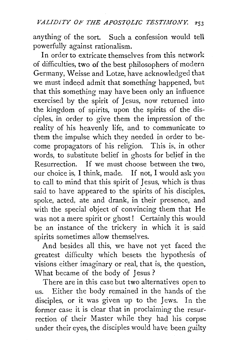anything of the sort. Such a confession would tell powerfully against rationalism.

In order to extricate themselves from this network of difficulties, two of the best philosophers of modern Germany, Weisse and Lotze, have acknowledged that we must indeed admit that something happened, but that this something may have been only an influence exercised by the spirit of Jesus, now returned into the kingdom of spirits, upon the spirits of the disciples, in order to give them the impression of the reality of his heavenly life, and to communicate to them the impulse which they needed in order to become propagators of his religion. This is, in other words, to substitute belief in ghosts for belief in the Resurrection. If we must choose between the two, our choice is, I think, made. If not, I would ask you to call to mind that this spirit of Jesus, which is thus said to have appeared to the spirits of his disciples, spoke, acted, ate and drank, in their presence, and with the special object of convincing them that He was not a mere spirit or ghost! Certainly this would be an instance of the trickery in which it is said spirits sometimes allow themselves.

And besides all this, we have not yet faced the greatest difficulty which besets the hypothesis of visions either imaginary or real, that is, the question, What became of the body of Jesus ?

There are in this case but two alternatives open to us. Either the body remained in the hands of the disciples, or it was given up to the Jews. In the former case it is clear that in proclaiming the resurrection of their Master while they had his corpse under their eyes, the disciples would have been guilty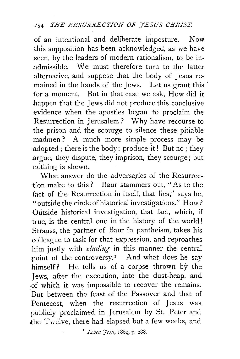of an intentional and deliberate imposture. Now this supposition has been acknowledged, as we have seen, by the leaders of modern rationalism, to be inadmissible. We must therefore turn to the latter alternative, and suppose that the body of Jesus remained in the hands of the Jews. Let us grant this for a moment. But in that case we ask, How did it happen that the Jews did not produce this conclusive evidence when the apostles began to proclaim the Resurrection in Jerusalem ? Why have recourse to the prison and the scourge to silence these pitiable madmen? A much more simple process may be adopted; there is the body: produce it! But no; they argue, they dispute, they imprison, they scourge; but nothing is shewn.

What answer do the adversaries of the Resurrection make to this ? Baur stammers out, " As to the fact of the Resurrection in itself, that lies," says he, "outside the circle of historical investigations." How? Outside historical investigation, that fact, which, if true, is the central one in the history of the world ! Strauss, the partner of Baur in pantheism, takes his colleague to task for that expression, and reproaches him justly with *eluding* in this manner the central point of the controversy.<sup>1</sup> And what does he say himself? He tells us of a corpse thrown by the Jews, after the execution, into the dust-heap, and >Of which it was impossible to recover the remains. But between the feast of the Passover and that of Pentecost, when the resurrection of Jesus was publicly proclaimed in Jerusalem by St. Peter and the Twelve, there had elapsed but a few weeks, and

<sup>1</sup> *Leben Jesu*, 1864, p. 288.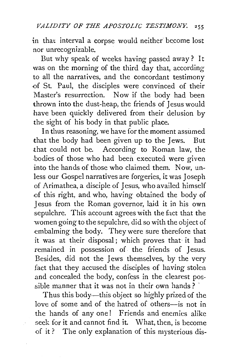in that interval a corpse would neither become lost nor unrecognizable.

But why speak of weeks having passed away? It was on the morning of the third day that, according to all the narratives, and the concordant testimony of St. Paul, the disciples were convinced of their Master's resurrection. Now if the body had been thrown into the dust-heap, the friends of Jesus would have been quickly delivered from their delusion by the sight of his body in that public place.

In thus reasoning, we have for the moment assumed that the body had been given up to the Jews. But that could not be. According to Roman law, the bodies of those who had been executed were given into the hands of those who claimed them. Now, unless our Gospel narratives are forgeries, it was Joseph of Arimathea, a disciple of Jesus, who availed himself .of this right, and who, having obtained the body of Jesus from the Roman governor, laid it in his own sepulchre. This account agrees with the fact that the women going to the sepulchre, did so with the object of embalming the body. They were sure therefore that it was at their disposal; which proves that it had remained in possession of the friends of Jesus. Besides, did not the Jews themselves, by the very fact that they accused the disciples of having stolen and concealed the body, confess in the clearest possible manner that it was not in their own hands ? '

Thus this body-this object so highly prized of the love of some and of the hatred of others--is not in the hands of any one! Friends and enemies alike seek for it and cannot find it. What, then, is become of it ? The only explanation of this mysterious dis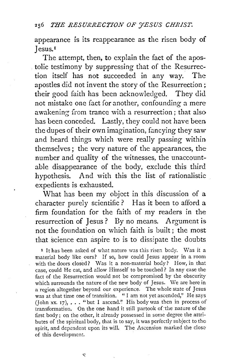appearance is its reappearance as the risen body of Jesus. <sup>1</sup>

The attempt, then, to explain the fact of the apostolic testimony by suppressing that of the Resurrection itself has not succeeded in any way. The apostles did not invent the story of the Resurrection ; their good faith has been acknowledged. They did not mistake one fact for another, confounding a mere awakening from trance with a resurrection; that also has been conceded. Lastly, they could not have been the dupes of their own imagination, fancying they saw and heard things which were really passing within themselves; the very nature of the appearances, the number and quality of the witnesses, the unaccountable disappearance of the body, exclude this third hypothesis. And with this the list of rationalistic expedients is exhausted.

What has been my object in this discussion of a character purely scientific? Has it been to afford a firm foundation for the faith of my readers in the resurrection of Jesus? By no means. Argument is not the foundation on which faith is built; the most that science can aspire to is to dissipate the doubts

<sup>1</sup> It has been asked of what nature was this risen body. Was it a material body like ours? If so, how could Jesus appear in a room with the doors closed? Was it a non-material body? How, in that case, could He cat, and allow Himself to be touched? In any case the fact of the Resurrection would not be compromised by the obscurity which surrounds the nature of the new body of Jesus. We are here in a region altogether beyond our experience. The whole state of Jesus was at that time one of transition. "I am not yet ascended," He says (John xx. 17),  $\ldots$  "but I ascend." His body was then in process of transformation. On the one hand it still partook of the nature of the first body; on the other, it already possessed in some degree the attributes of the spiritual body, that is to say, it was perfectly subject to the spirit, and dependent upon its will. The Ascension marked the close of this development.

ς